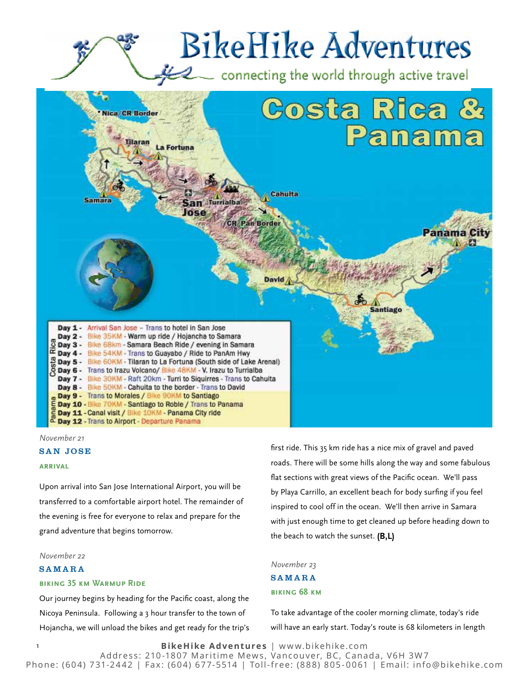

# **BikeHike Adventures**

2 connecting the world through active travel



#### *November 21*

#### **SAN JOSE**

#### **arrival**

Upon arrival into San Jose International Airport, you will be transferred to a comfortable airport hotel. The remainder of the evening is free for everyone to relax and prepare for the grand adventure that begins tomorrow.

#### *November 22*

#### S A M A R A

#### **biking 35 km Warmup Ride**

Our journey begins by heading for the Pacific coast, along the Nicoya Peninsula. Following a 3 hour transfer to the town of Hojancha, we will unload the bikes and get ready for the trip's

first ride. This 35 km ride has a nice mix of gravel and paved roads. There will be some hills along the way and some fabulous flat sections with great views of the Pacific ocean. We'll pass by Playa Carrillo, an excellent beach for body surfing if you feel inspired to cool off in the ocean. We'll then arrive in Samara with just enough time to get cleaned up before heading down to the beach to watch the sunset. **(B,L)**

## *November 23* SAMARA **biking 68 km**

To take advantage of the cooler morning climate, today's ride will have an early start. Today's route is 68 kilometers in length

**BikeHike Adventures** | www.bikehike.com Address: 210-1807 Maritime Mews, Vancouver, BC, Canada, V6H 3W7 Phone: (604) 731-2442 | Fax: (604) 677-5514 | Toll-free: (888) 805-0061 | Email: info@bikehike.com 1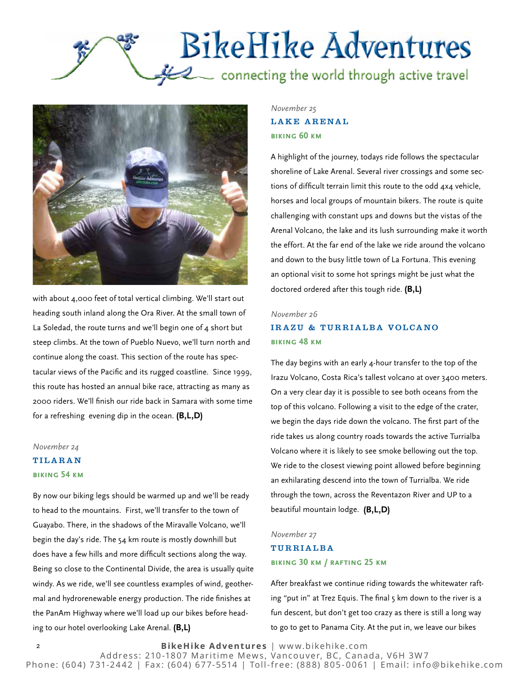# **BikeHike Adventures**

# connecting the world through active travel



with about 4,000 feet of total vertical climbing. We'll start out heading south inland along the Ora River. At the small town of La Soledad, the route turns and we'll begin one of 4 short but steep climbs. At the town of Pueblo Nuevo, we'll turn north and continue along the coast. This section of the route has spectacular views of the Pacific and its rugged coastline. Since 1999, this route has hosted an annual bike race, attracting as many as 2000 riders. We'll finish our ride back in Samara with some time for a refreshing evening dip in the ocean. **(B,L,D)**

# *November 24* TILARAN **biking 54 km**

2

By now our biking legs should be warmed up and we'll be ready to head to the mountains. First, we'll transfer to the town of Guayabo. There, in the shadows of the Miravalle Volcano, we'll begin the day's ride. The 54 km route is mostly downhill but does have a few hills and more difficult sections along the way. Being so close to the Continental Divide, the area is usually quite windy. As we ride, we'll see countless examples of wind, geothermal and hydrorenewable energy production. The ride finishes at the PanAm Highway where we'll load up our bikes before heading to our hotel overlooking Lake Arenal. **(B,L)**

#### *November 25*

## LAKE ARENAL **biking 60 km**

A highlight of the journey, todays ride follows the spectacular shoreline of Lake Arenal. Several river crossings and some sections of difficult terrain limit this route to the odd 4x4 vehicle, horses and local groups of mountain bikers. The route is quite challenging with constant ups and downs but the vistas of the Arenal Volcano, the lake and its lush surrounding make it worth the effort. At the far end of the lake we ride around the volcano and down to the busy little town of La Fortuna. This evening an optional visit to some hot springs might be just what the doctored ordered after this tough ride. **(B,L)**

#### *November 26*

# IRAZU & TURRIALBA VOLCANO **biking 48 km**

The day begins with an early 4-hour transfer to the top of the Irazu Volcano, Costa Rica's tallest volcano at over 3400 meters. On a very clear day it is possible to see both oceans from the top of this volcano. Following a visit to the edge of the crater, we begin the days ride down the volcano. The first part of the ride takes us along country roads towards the active Turrialba Volcano where it is likely to see smoke bellowing out the top. We ride to the closest viewing point allowed before beginning an exhilarating descend into the town of Turrialba. We ride through the town, across the Reventazon River and UP to a beautiful mountain lodge. **(B,L,D)**

#### *November 27*

### TURRIALBA **biking 30 km / rafting 25 km**

After breakfast we continue riding towards the whitewater rafting "put in" at Trez Equis. The final 5 km down to the river is a fun descent, but don't get too crazy as there is still a long way to go to get to Panama City. At the put in, we leave our bikes

**BikeHike Adventures** | www.bikehike.com

Address: 210-1807 Maritime Mews, Vancouver, BC, Canada, V6H 3W7 Phone: (604) 731-2442 | Fax: (604) 677-5514 | Toll-free: (888) 805-0061 | Email: info@bikehike.com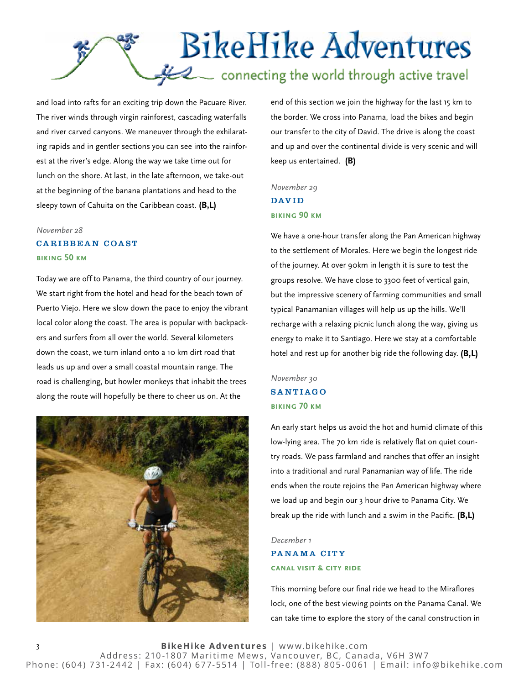**BikeHike Adventures** connecting the world through active travel

and load into rafts for an exciting trip down the Pacuare River. The river winds through virgin rainforest, cascading waterfalls and river carved canyons. We maneuver through the exhilarating rapids and in gentler sections you can see into the rainforest at the river's edge. Along the way we take time out for lunch on the shore. At last, in the late afternoon, we take-out at the beginning of the banana plantations and head to the sleepy town of Cahuita on the Caribbean coast. **(B,L)**

#### *November 28*

# CARIBBEAN COAST **biking 50 km**

Today we are off to Panama, the third country of our journey. We start right from the hotel and head for the beach town of Puerto Viejo. Here we slow down the pace to enjoy the vibrant local color along the coast. The area is popular with backpackers and surfers from all over the world. Several kilometers down the coast, we turn inland onto a 10 km dirt road that leads us up and over a small coastal mountain range. The road is challenging, but howler monkeys that inhabit the trees along the route will hopefully be there to cheer us on. At the



end of this section we join the highway for the last 15 km to the border. We cross into Panama, load the bikes and begin our transfer to the city of David. The drive is along the coast and up and over the continental divide is very scenic and will keep us entertained. **(B)**

# *November 29* DAVID **biking 90 km**

We have a one-hour transfer along the Pan American highway to the settlement of Morales. Here we begin the longest ride of the journey. At over 90km in length it is sure to test the groups resolve. We have close to 3300 feet of vertical gain, but the impressive scenery of farming communities and small typical Panamanian villages will help us up the hills. We'll recharge with a relaxing picnic lunch along the way, giving us energy to make it to Santiago. Here we stay at a comfortable hotel and rest up for another big ride the following day. **(B,L)**

# *November 30* **SANTIAGO biking 70 km**

An early start helps us avoid the hot and humid climate of this low-lying area. The 70 km ride is relatively flat on quiet country roads. We pass farmland and ranches that offer an insight into a traditional and rural Panamanian way of life. The ride ends when the route rejoins the Pan American highway where we load up and begin our 3 hour drive to Panama City. We break up the ride with lunch and a swim in the Pacific. **(B,L)**

### *December 1*

# PANAMA CITY **canal visit & city ride**

This morning before our final ride we head to the Miraflores lock, one of the best viewing points on the Panama Canal. We can take time to explore the story of the canal construction in

**BikeHike Adventures** | www.bikehike.com Address: 210-1807 Maritime Mews, Vancouver, BC, Canada, V6H 3W7 Phone: (604) 731-2442 | Fax: (604) 677-5514 | Toll-free: (888) 805-0061 | Email: info@bikehike.com 3